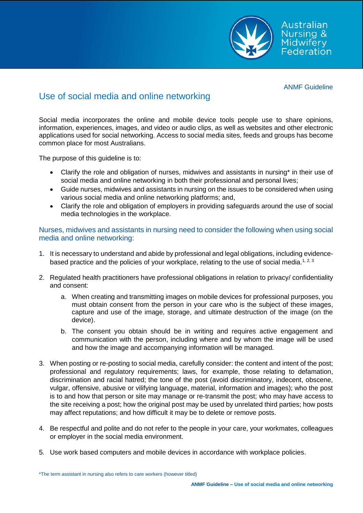

ANMF Guideline

Australian Nursing & **Midwifery** Federation

# Use of social media and online networking

Social media incorporates the online and mobile device tools people use to share opinions, information, experiences, images, and video or audio clips, as well as websites and other electronic applications used for social networking. Access to social media sites, feeds and groups has become common place for most Australians.

The purpose of this guideline is to:

- Clarify the role and obligation of nurses, midwives and assistants in nursing\* in their use of social media and online networking in both their professional and personal lives;
- Guide nurses, midwives and assistants in nursing on the issues to be considered when using various social media and online networking platforms; and,
- Clarify the role and obligation of employers in providing safeguards around the use of social media technologies in the workplace.

## Nurses, midwives and assistants in nursing need to consider the following when using social media and online networking:

- 1. It is necessary to understand and abide by professional and legal obligations, including evidencebased practice and the policies of your workplace, relating to the use of social media.<sup>1, 2, 3</sup>
- 2. Regulated health practitioners have professional obligations in relation to privacy/ confidentiality and consent:
	- a. When creating and transmitting images on mobile devices for professional purposes, you must obtain consent from the person in your care who is the subject of these images, capture and use of the image, storage, and ultimate destruction of the image (on the device).
	- b. The consent you obtain should be in writing and requires active engagement and communication with the person, including where and by whom the image will be used and how the image and accompanying information will be managed.
- 3. When posting or re-posting to social media, carefully consider: the content and intent of the post; professional and regulatory requirements; laws, for example, those relating to defamation, discrimination and racial hatred; the tone of the post (avoid discriminatory, indecent, obscene, vulgar, offensive, abusive or vilifying language, material, information and images); who the post is to and how that person or site may manage or re-transmit the post; who may have access to the site receiving a post; how the original post may be used by unrelated third parties; how posts may affect reputations; and how difficult it may be to delete or remove posts.
- 4. Be respectful and polite and do not refer to the people in your care, your workmates, colleagues or employer in the social media environment.
- 5. Use work based computers and mobile devices in accordance with workplace policies.

\*The term assistant in nursing also refers to care workers (however titled)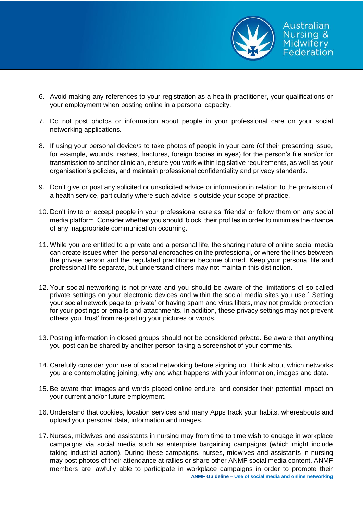

- 6. Avoid making any references to your registration as a health practitioner, your qualifications or your employment when posting online in a personal capacity.
- 7. Do not post photos or information about people in your professional care on your social networking applications.
- 8. If using your personal device/s to take photos of people in your care (of their presenting issue, for example, wounds, rashes, fractures, foreign bodies in eyes) for the person's file and/or for transmission to another clinician, ensure you work within legislative requirements, as well as your organisation's policies, and maintain professional confidentiality and privacy standards.
- 9. Don't give or post any solicited or unsolicited advice or information in relation to the provision of a health service, particularly where such advice is outside your scope of practice.
- 10. Don't invite or accept people in your professional care as 'friends' or follow them on any social media platform. Consider whether you should 'block' their profiles in order to minimise the chance of any inappropriate communication occurring.
- 11. While you are entitled to a private and a personal life, the sharing nature of online social media can create issues when the personal encroaches on the professional, or where the lines between the private person and the regulated practitioner become blurred. Keep your personal life and professional life separate, but understand others may not maintain this distinction.
- 12. Your social networking is not private and you should be aware of the limitations of so-called private settings on your electronic devices and within the social media sites you use. <sup>4</sup> Setting your social network page to 'private' or having spam and virus filters, may not provide protection for your postings or emails and attachments. In addition, these privacy settings may not prevent others you 'trust' from re-posting your pictures or words.
- 13. Posting information in closed groups should not be considered private. Be aware that anything you post can be shared by another person taking a screenshot of your comments.
- 14. Carefully consider your use of social networking before signing up. Think about which networks you are contemplating joining, why and what happens with your information, images and data.
- 15. Be aware that images and words placed online endure, and consider their potential impact on your current and/or future employment.
- 16. Understand that cookies, location services and many Apps track your habits, whereabouts and upload your personal data, information and images.
- **ANMF Guideline – Use of social media and online networking** 17. Nurses, midwives and assistants in nursing may from time to time wish to engage in workplace campaigns via social media such as enterprise bargaining campaigns (which might include taking industrial action). During these campaigns, nurses, midwives and assistants in nursing may post photos of their attendance at rallies or share other ANMF social media content. ANMF members are lawfully able to participate in workplace campaigns in order to promote their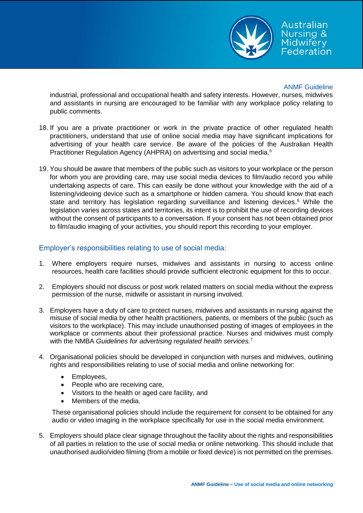

Australian Nursing & Midwifery Federation

### ANMF Guideline

industrial, professional and occupational health and safety interests. However, nurses, midwives and assistants in nursing are encouraged to be familiar with any workplace policy relating to public comments.

- 18. If you are a private practitioner or work in the private practice of other regulated health practitioners, understand that use of online social media may have significant implications for advertising of your health care service. Be aware of the policies of the Australian Health Practitioner Regulation Agency (AHPRA) on advertising and social media.<sup>5</sup>
- 19. You should be aware that members of the public such as visitors to your workplace or the person for whom you are providing care, may use social media devices to film/audio record you while undertaking aspects of care. This can easily be done without your knowledge with the aid of a listening/videoing device such as a smartphone or hidden camera. You should know that each state and territory has legislation regarding surveillance and listening devices. <sup>6</sup> While the legislation varies across states and territories, its intent is to prohibit the use of recording devices without the consent of participants to a conversation. If your consent has not been obtained prior to film/audio imaging of your activities, you should report this recording to your employer.

# Employer's responsibilities relating to use of social media:

- 1. Where employers require nurses, midwives and assistants in nursing to access online resources, health care facilities should provide sufficient electronic equipment for this to occur.
- 2. Employers should not discuss or post work related matters on social media without the express permission of the nurse, midwife or assistant in nursing involved.
- 3. Employers have a duty of care to protect nurses, midwives and assistants in nursing against the misuse of social media by other health practitioners, patients, or members of the public (such as visitors to the workplace). This may include unauthorised posting of images of employees in the workplace or comments about their professional practice. Nurses and midwives must comply with the NMBA *Guidelines for advertising regulated health services.* 7
- 4. Organisational policies should be developed in conjunction with nurses and midwives, outlining rights and responsibilities relating to use of social media and online networking for:
	- Employees,
	- People who are receiving care,
	- Visitors to the health or aged care facility, and
	- Members of the media.

These organisational policies should include the requirement for consent to be obtained for any audio or video imaging in the workplace specifically for use in the social media environment.

5. Employers should place clear signage throughout the facility about the rights and responsibilities of all parties in relation to the use of social media or online networking. This should include that unauthorised audio/video filming (from a mobile or fixed device) is not permitted on the premises.